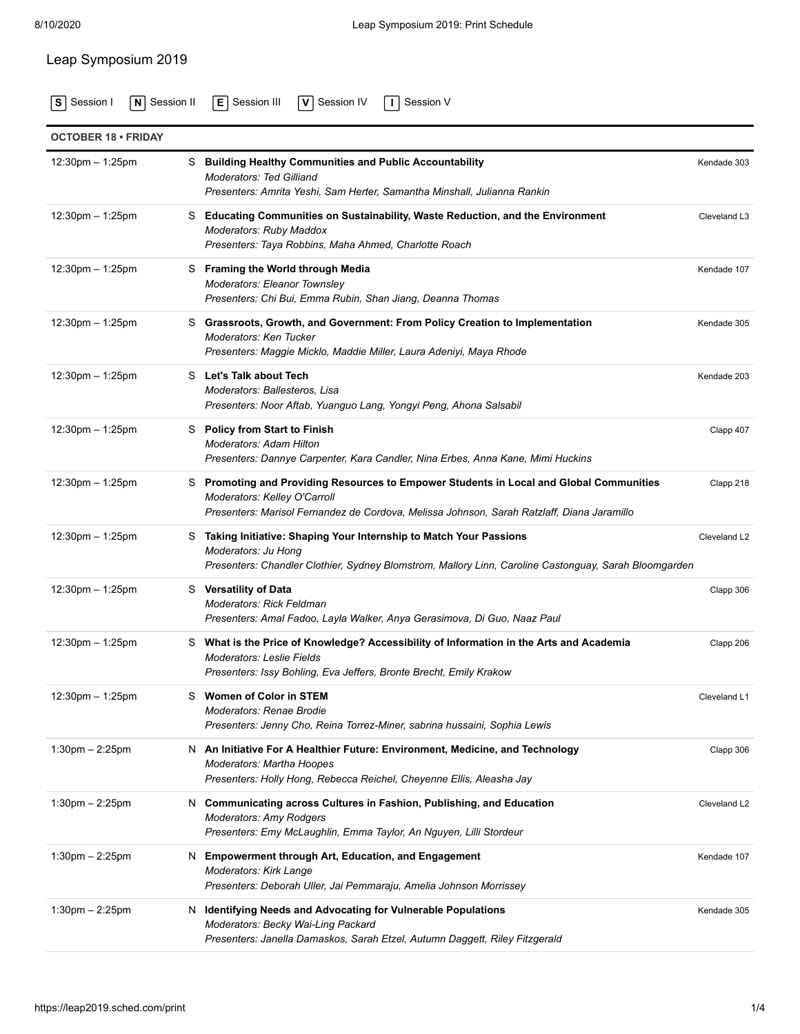## Leap Symposium 2019

**S** [Session I](https://leap2019.sched.com/type/Session+I/print) **N** [Session II](https://leap2019.sched.com/type/Session+II/print) **E** [Session III](https://leap2019.sched.com/type/Session+III/print) **V** [Session IV](https://leap2019.sched.com/type/Session+IV/print) **I** [Session V](https://leap2019.sched.com/type/Session+V/print)

| <b>OCTOBER 18 • FRIDAY</b> |                                                                                                                                                                                                                       |              |
|----------------------------|-----------------------------------------------------------------------------------------------------------------------------------------------------------------------------------------------------------------------|--------------|
| 12:30pm - 1:25pm           | S Building Healthy Communities and Public Accountability<br><b>Moderators: Ted Gilliand</b><br>Presenters: Amrita Yeshi, Sam Herter, Samantha Minshall, Julianna Rankin                                               | Kendade 303  |
| $12:30$ pm $-1:25$ pm      | S Educating Communities on Sustainability, Waste Reduction, and the Environment<br>Moderators: Ruby Maddox<br>Presenters: Taya Robbins, Maha Ahmed, Charlotte Roach                                                   | Cleveland L3 |
| $12:30$ pm $-1:25$ pm      | S Framing the World through Media<br>Moderators: Eleanor Townsley<br>Presenters: Chi Bui, Emma Rubin, Shan Jiang, Deanna Thomas                                                                                       | Kendade 107  |
| $12:30$ pm $-1:25$ pm      | S Grassroots, Growth, and Government: From Policy Creation to Implementation<br>Moderators: Ken Tucker<br>Presenters: Maggie Micklo, Maddie Miller, Laura Adeniyi, Maya Rhode                                         | Kendade 305  |
| $12:30$ pm $-1:25$ pm      | S Let's Talk about Tech<br>Moderators: Ballesteros, Lisa<br>Presenters: Noor Aftab, Yuanguo Lang, Yongyi Peng, Ahona Salsabil                                                                                         | Kendade 203  |
| $12:30$ pm $-1:25$ pm      | S Policy from Start to Finish<br><b>Moderators: Adam Hilton</b><br>Presenters: Dannye Carpenter, Kara Candler, Nina Erbes, Anna Kane, Mimi Huckins                                                                    | Clapp 407    |
| $12:30$ pm $-1:25$ pm      | S Promoting and Providing Resources to Empower Students in Local and Global Communities<br>Moderators: Kelley O'Carroll<br>Presenters: Marisol Fernandez de Cordova, Melissa Johnson, Sarah Ratzlaff, Diana Jaramillo | Clapp 218    |
| $12:30$ pm $-1:25$ pm      | S Taking Initiative: Shaping Your Internship to Match Your Passions<br>Moderators: Ju Hong<br>Presenters: Chandler Clothier, Sydney Blomstrom, Mallory Linn, Caroline Castonguay, Sarah Bloomgarden                   | Cleveland L2 |
| $12:30$ pm $-1:25$ pm      | S Versatility of Data<br><b>Moderators: Rick Feldman</b><br>Presenters: Amal Fadoo, Layla Walker, Anya Gerasimova, Di Guo, Naaz Paul                                                                                  | Clapp 306    |
| $12:30$ pm $-1:25$ pm      | S What is the Price of Knowledge? Accessibility of Information in the Arts and Academia<br><b>Moderators: Leslie Fields</b><br>Presenters: Issy Bohling, Eva Jeffers, Bronte Brecht, Emily Krakow                     | Clapp 206    |
| 12:30pm - 1:25pm           | S Women of Color in STEM<br>Moderators: Renae Brodie<br>Presenters: Jenny Cho, Reina Torrez-Miner, sabrina hussaini, Sophia Lewis                                                                                     | Cleveland L1 |
| $1:30$ pm $- 2:25$ pm      | N An Initiative For A Healthier Future: Environment, Medicine, and Technology<br>Moderators: Martha Hoopes<br>Presenters: Holly Hong, Rebecca Reichel, Cheyenne Ellis, Aleasha Jay                                    | Clapp 306    |
| $1:30$ pm $- 2:25$ pm      | N Communicating across Cultures in Fashion, Publishing, and Education<br><b>Moderators: Amy Rodgers</b><br>Presenters: Emy McLaughlin, Emma Taylor, An Nguyen, Lilli Stordeur                                         | Cleveland L2 |
| $1:30$ pm $- 2:25$ pm      | N Empowerment through Art, Education, and Engagement<br><b>Moderators: Kirk Lange</b><br>Presenters: Deborah Uller, Jai Pemmaraju, Amelia Johnson Morrissey                                                           | Kendade 107  |
| $1:30$ pm $- 2:25$ pm      | N Identifying Needs and Advocating for Vulnerable Populations<br>Moderators: Becky Wai-Ling Packard<br>Presenters: Janella Damaskos, Sarah Etzel, Autumn Daggett, Riley Fitzgerald                                    | Kendade 305  |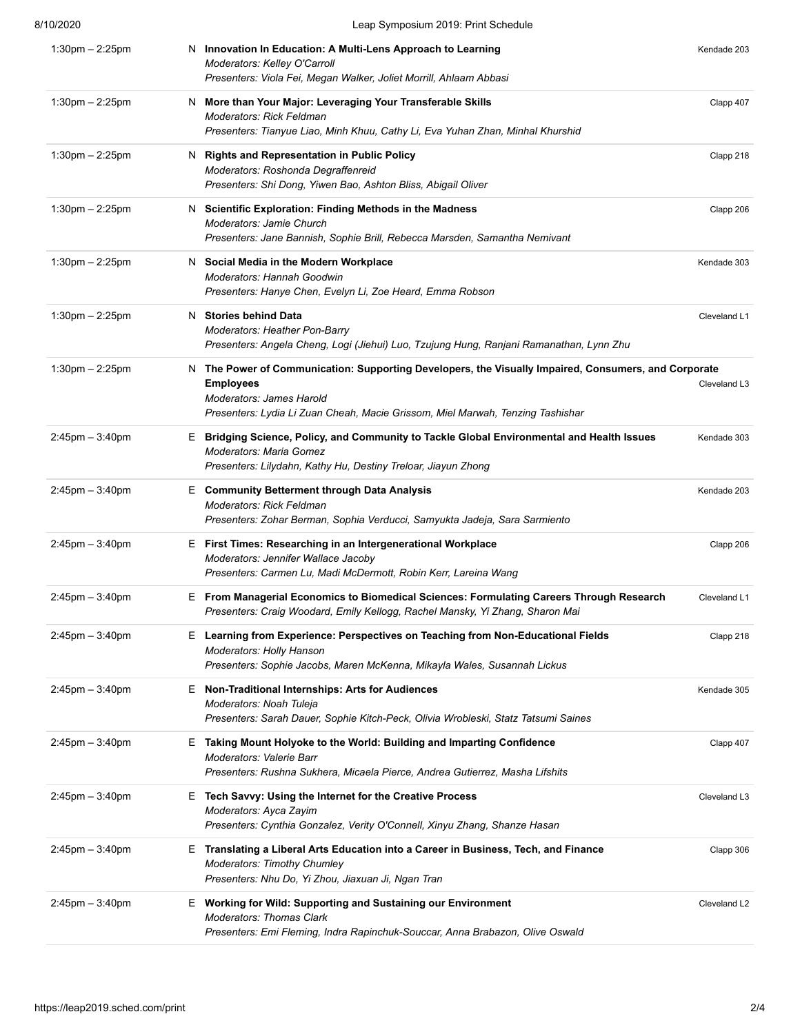| 8/10/2020             | Leap Symposium 2019: Print Schedule                                                                                                                                                                                                    |              |
|-----------------------|----------------------------------------------------------------------------------------------------------------------------------------------------------------------------------------------------------------------------------------|--------------|
| $1:30$ pm $- 2:25$ pm | N Innovation In Education: A Multi-Lens Approach to Learning<br>Moderators: Kelley O'Carroll<br>Presenters: Viola Fei, Megan Walker, Joliet Morrill, Ahlaam Abbasi                                                                     | Kendade 203  |
| $1:30$ pm $- 2:25$ pm | N More than Your Major: Leveraging Your Transferable Skills<br>Moderators: Rick Feldman<br>Presenters: Tianyue Liao, Minh Khuu, Cathy Li, Eva Yuhan Zhan, Minhal Khurshid                                                              | Clapp 407    |
| $1:30$ pm $-2:25$ pm  | N Rights and Representation in Public Policy<br>Moderators: Roshonda Degraffenreid<br>Presenters: Shi Dong, Yiwen Bao, Ashton Bliss, Abigail Oliver                                                                                    | Clapp 218    |
| $1:30$ pm $-2:25$ pm  | N Scientific Exploration: Finding Methods in the Madness<br>Moderators: Jamie Church<br>Presenters: Jane Bannish, Sophie Brill, Rebecca Marsden, Samantha Nemivant                                                                     | Clapp 206    |
| $1:30$ pm $- 2:25$ pm | N Social Media in the Modern Workplace<br><b>Moderators: Hannah Goodwin</b><br>Presenters: Hanye Chen, Evelyn Li, Zoe Heard, Emma Robson                                                                                               | Kendade 303  |
| $1:30$ pm $-2:25$ pm  | <b>Stories behind Data</b><br>N.<br><b>Moderators: Heather Pon-Barry</b><br>Presenters: Angela Cheng, Logi (Jiehui) Luo, Tzujung Hung, Ranjani Ramanathan, Lynn Zhu                                                                    | Cleveland L1 |
| $1:30$ pm $- 2:25$ pm | N The Power of Communication: Supporting Developers, the Visually Impaired, Consumers, and Corporate<br><b>Employees</b><br>Moderators: James Harold<br>Presenters: Lydia Li Zuan Cheah, Macie Grissom, Miel Marwah, Tenzing Tashishar | Cleveland L3 |
| $2:45$ pm $-3:40$ pm  | E Bridging Science, Policy, and Community to Tackle Global Environmental and Health Issues<br><b>Moderators: Maria Gomez</b><br>Presenters: Lilydahn, Kathy Hu, Destiny Treloar, Jiayun Zhong                                          | Kendade 303  |
| $2:45$ pm $-3:40$ pm  | E Community Betterment through Data Analysis<br><b>Moderators: Rick Feldman</b><br>Presenters: Zohar Berman, Sophia Verducci, Samyukta Jadeja, Sara Sarmiento                                                                          | Kendade 203  |
| $2:45$ pm $-3:40$ pm  | E First Times: Researching in an Intergenerational Workplace<br>Moderators: Jennifer Wallace Jacoby<br>Presenters: Carmen Lu, Madi McDermott, Robin Kerr, Lareina Wang                                                                 | Clapp 206    |
| $2:45$ pm $-3:40$ pm  | E From Managerial Economics to Biomedical Sciences: Formulating Careers Through Research<br>Presenters: Craig Woodard, Emily Kellogg, Rachel Mansky, Yi Zhang, Sharon Mai                                                              | Cleveland L1 |
| $2:45$ pm $-3:40$ pm  | Learning from Experience: Perspectives on Teaching from Non-Educational Fields<br>Е.<br><b>Moderators: Holly Hanson</b><br>Presenters: Sophie Jacobs, Maren McKenna, Mikayla Wales, Susannah Lickus                                    | Clapp 218    |
| $2:45$ pm $-3:40$ pm  | E Non-Traditional Internships: Arts for Audiences<br>Moderators: Noah Tuleja<br>Presenters: Sarah Dauer, Sophie Kitch-Peck, Olivia Wrobleski, Statz Tatsumi Saines                                                                     | Kendade 305  |
| $2:45$ pm $-3:40$ pm  | E Taking Mount Holyoke to the World: Building and Imparting Confidence<br>Moderators: Valerie Barr<br>Presenters: Rushna Sukhera, Micaela Pierce, Andrea Gutierrez, Masha Lifshits                                                     | Clapp 407    |
| $2:45$ pm $-3:40$ pm  | E Tech Savvy: Using the Internet for the Creative Process<br>Moderators: Ayca Zayim<br>Presenters: Cynthia Gonzalez, Verity O'Connell, Xinyu Zhang, Shanze Hasan                                                                       | Cleveland L3 |
| $2:45$ pm $-3:40$ pm  | E Translating a Liberal Arts Education into a Career in Business, Tech, and Finance<br><b>Moderators: Timothy Chumley</b><br>Presenters: Nhu Do, Yi Zhou, Jiaxuan Ji, Ngan Tran                                                        | Clapp 306    |
| $2:45$ pm $-3:40$ pm  | E Working for Wild: Supporting and Sustaining our Environment<br><b>Moderators: Thomas Clark</b><br>Presenters: Emi Fleming, Indra Rapinchuk-Souccar, Anna Brabazon, Olive Oswald                                                      | Cleveland L2 |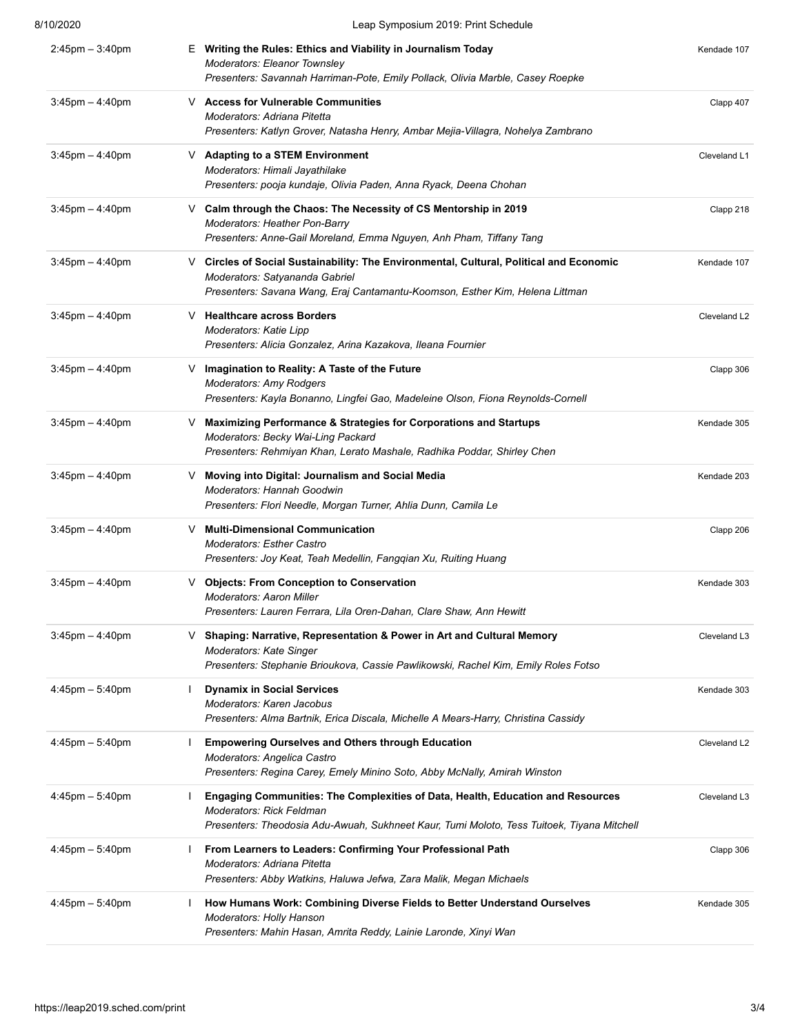| 8/10/2020            | Leap Symposium 2019: Print Schedule                                                                                                                                                                              |              |
|----------------------|------------------------------------------------------------------------------------------------------------------------------------------------------------------------------------------------------------------|--------------|
| $2:45$ pm $-3:40$ pm | E Writing the Rules: Ethics and Viability in Journalism Today<br>Moderators: Eleanor Townsley<br>Presenters: Savannah Harriman-Pote, Emily Pollack, Olivia Marble, Casey Roepke                                  | Kendade 107  |
| $3:45$ pm $-4:40$ pm | V Access for Vulnerable Communities<br>Moderators: Adriana Pitetta<br>Presenters: Katlyn Grover, Natasha Henry, Ambar Mejia-Villagra, Nohelya Zambrano                                                           | Clapp 407    |
| $3:45$ pm $-4:40$ pm | V Adapting to a STEM Environment<br>Moderators: Himali Jayathilake<br>Presenters: pooja kundaje, Olivia Paden, Anna Ryack, Deena Chohan                                                                          | Cleveland L1 |
| $3:45$ pm $-4:40$ pm | V Calm through the Chaos: The Necessity of CS Mentorship in 2019<br>Moderators: Heather Pon-Barry<br>Presenters: Anne-Gail Moreland, Emma Nguyen, Anh Pham, Tiffany Tang                                         | Clapp 218    |
| $3:45$ pm $-4:40$ pm | Circles of Social Sustainability: The Environmental, Cultural, Political and Economic<br>V.<br>Moderators: Satyananda Gabriel<br>Presenters: Savana Wang, Eraj Cantamantu-Koomson, Esther Kim, Helena Littman    | Kendade 107  |
| $3:45$ pm $-4:40$ pm | V Healthcare across Borders<br>Moderators: Katie Lipp<br>Presenters: Alicia Gonzalez, Arina Kazakova, Ileana Fournier                                                                                            | Cleveland L2 |
| $3:45$ pm $-4:40$ pm | ∨ Imagination to Reality: A Taste of the Future<br><b>Moderators: Amy Rodgers</b><br>Presenters: Kayla Bonanno, Lingfei Gao, Madeleine Olson, Fiona Reynolds-Cornell                                             | Clapp 306    |
| $3:45$ pm $-4:40$ pm | V Maximizing Performance & Strategies for Corporations and Startups<br>Moderators: Becky Wai-Ling Packard<br>Presenters: Rehmiyan Khan, Lerato Mashale, Radhika Poddar, Shirley Chen                             | Kendade 305  |
| $3:45$ pm $-4:40$ pm | V Moving into Digital: Journalism and Social Media<br><b>Moderators: Hannah Goodwin</b><br>Presenters: Flori Needle, Morgan Turner, Ahlia Dunn, Camila Le                                                        | Kendade 203  |
| $3:45$ pm $-4:40$ pm | <b>Multi-Dimensional Communication</b><br>V<br><b>Moderators: Esther Castro</b><br>Presenters: Joy Keat, Teah Medellin, Fangqian Xu, Ruiting Huang                                                               | Clapp 206    |
| $3:45$ pm $-4:40$ pm | <b>Objects: From Conception to Conservation</b><br>V.<br>Moderators: Aaron Miller<br>Presenters: Lauren Ferrara, Lila Oren-Dahan, Clare Shaw, Ann Hewitt                                                         | Kendade 303  |
| $3:45$ pm $-4:40$ pm | Shaping: Narrative, Representation & Power in Art and Cultural Memory<br>V<br>Moderators: Kate Singer<br>Presenters: Stephanie Brioukova, Cassie Pawlikowski, Rachel Kim, Emily Roles Fotso                      | Cleveland L3 |
| $4:45$ pm $-5:40$ pm | <b>Dynamix in Social Services</b><br>$\mathbf{I}$<br>Moderators: Karen Jacobus<br>Presenters: Alma Bartnik, Erica Discala, Michelle A Mears-Harry, Christina Cassidy                                             | Kendade 303  |
| $4:45$ pm $-5:40$ pm | <b>Empowering Ourselves and Others through Education</b><br>Moderators: Angelica Castro<br>Presenters: Regina Carey, Emely Minino Soto, Abby McNally, Amirah Winston                                             | Cleveland L2 |
| $4:45$ pm $-5:40$ pm | Engaging Communities: The Complexities of Data, Health, Education and Resources<br><b>Moderators: Rick Feldman</b><br>Presenters: Theodosia Adu-Awuah, Sukhneet Kaur, Tumi Moloto, Tess Tuitoek, Tiyana Mitchell | Cleveland L3 |
| $4:45$ pm $-5:40$ pm | From Learners to Leaders: Confirming Your Professional Path<br>Moderators: Adriana Pitetta<br>Presenters: Abby Watkins, Haluwa Jefwa, Zara Malik, Megan Michaels                                                 | Clapp 306    |
| $4:45$ pm $-5:40$ pm | How Humans Work: Combining Diverse Fields to Better Understand Ourselves<br><b>Moderators: Holly Hanson</b><br>Presenters: Mahin Hasan, Amrita Reddy, Lainie Laronde, Xinyi Wan                                  | Kendade 305  |